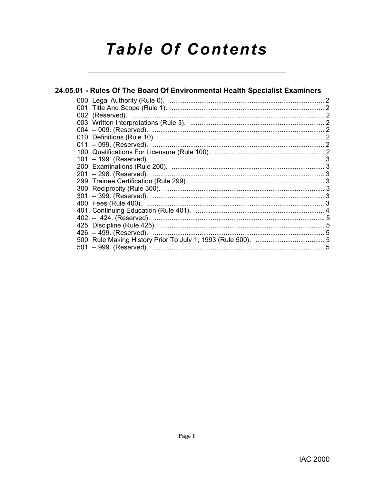# **Table Of Contents**

# 24.05.01 - Rules Of The Board Of Environmental Health Specialist Examiners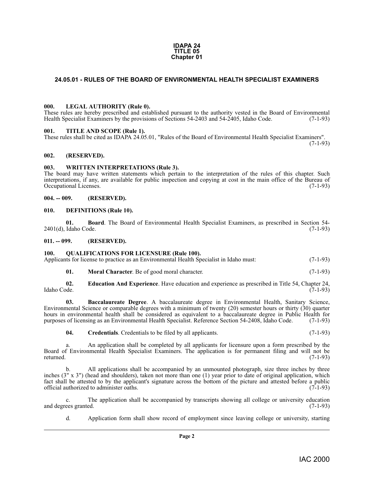#### **IDAPA 24 TITLE 05 Chapter 01**

#### <span id="page-1-0"></span>**24.05.01 - RULES OF THE BOARD OF ENVIRONMENTAL HEALTH SPECIALIST EXAMINERS**

#### <span id="page-1-14"></span><span id="page-1-1"></span>**000. LEGAL AUTHORITY (Rule 0).**

These rules are hereby prescribed and established pursuant to the authority vested in the Board of Environmental Health Specialist Examiners by the provisions of Sections 54-2403 and 54-2405, Idaho Code. (7-1-93)

#### <span id="page-1-17"></span><span id="page-1-2"></span>**001. TITLE AND SCOPE (Rule 1).**

These rules shall be cited as IDAPA 24.05.01, "Rules of the Board of Environmental Health Specialist Examiners". (7-1-93)

#### <span id="page-1-3"></span>**002. (RESERVED).**

#### <span id="page-1-18"></span><span id="page-1-4"></span>**003. WRITTEN INTERPRETATIONS (Rule 3).**

The board may have written statements which pertain to the interpretation of the rules of this chapter. Such interpretations, if any, are available for public inspection and copying at cost in the main office of the Bureau of Occupational Licenses.

#### <span id="page-1-5"></span>**004. -- 009. (RESERVED).**

#### <span id="page-1-12"></span><span id="page-1-6"></span>**010. DEFINITIONS (Rule 10).**

<span id="page-1-10"></span>**01. Board**. The Board of Environmental Health Specialist Examiners, as prescribed in Section 54-<br>Idaho Code. (7-1-93)  $2401(d)$ , Idaho Code.

<span id="page-1-7"></span>**011. -- 099. (RESERVED).**

#### <span id="page-1-16"></span><span id="page-1-8"></span>**100. QUALIFICATIONS FOR LICENSURE (Rule 100).**

Applicants for license to practice as an Environmental Health Specialist in Idaho must: (7-1-93)

<span id="page-1-15"></span><span id="page-1-13"></span><span id="page-1-9"></span>**01. Moral Character**. Be of good moral character. (7-1-93)

**02. Education And Experience**. Have education and experience as prescribed in Title 54, Chapter 24, Idaho Code. (7-1-93) Idaho Code. (7-1-93)

**03. Baccalaureate Degree**. A baccalaureate degree in Environmental Health, Sanitary Science, Environmental Science or comparable degrees with a minimum of twenty (20) semester hours or thirty (30) quarter hours in environmental health shall be considered as equivalent to a baccalaureate degree in Public Health for purposes of licensing as an Environmental Health Specialist. Reference Section 54-2408, Idaho Code. (7-1-93)

<span id="page-1-11"></span>**04.** Credentials. Credentials to be filed by all applicants. (7-1-93)

a. An application shall be completed by all applicants for licensure upon a form prescribed by the Board of Environmental Health Specialist Examiners. The application is for permanent filing and will not be returned. (7-1-93)

b. All applications shall be accompanied by an unmounted photograph, size three inches by three inches (3" x 3") (head and shoulders), taken not more than one (1) year prior to date of original application, which fact shall be attested to by the applicant's signature across the bottom of the picture and attested before a public official authorized to administer oaths. (7-1-93) official authorized to administer oaths.

c. The application shall be accompanied by transcripts showing all college or university education ees granted. (7-1-93) and degrees granted.

d. Application form shall show record of employment since leaving college or university, starting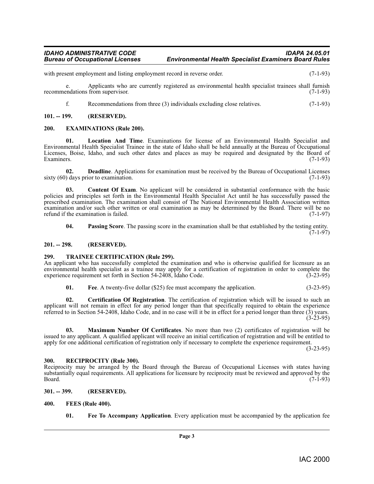#### *IDAHO ADMINISTRATIVE CODE IDAPA 24.05.01 Environmental Health Specialist Examiners Board Rules*

with present employment and listing employment record in reverse order. (7-1-93)

e. Applicants who are currently registered as environmental health specialist trainees shall furnish recommendations from supervisor. (7-1-93)

<span id="page-2-14"></span><span id="page-2-10"></span>f. Recommendations from three (3) individuals excluding close relatives. (7-1-93)

#### <span id="page-2-0"></span>**101. -- 199. (RESERVED).**

#### <span id="page-2-1"></span>**200. EXAMINATIONS (Rule 200).**

**01. Location And Time**. Examinations for license of an Environmental Health Specialist and Environmental Health Specialist Trainee in the state of Idaho shall be held annually at the Bureau of Occupational Licenses, Boise, Idaho, and such other dates and places as may be required and designated by the Board of Examiners. (7-1-93)

<span id="page-2-9"></span>**02. Deadline**. Applications for examination must be received by the Bureau of Occupational Licenses (7-1-93) sixty  $(60)$  days prior to examination.

<span id="page-2-8"></span>**Content Of Exam**. No applicant will be considered in substantial conformance with the basic policies and principles set forth in the Environmental Health Specialist Act until he has successfully passed the prescribed examination. The examination shall consist of The National Environmental Health Association written examination and/or such other written or oral examination as may be determined by the Board. There will be no refund if the examination is failed. (7-1-97)

<span id="page-2-16"></span>**04. Passing Score**. The passing score in the examination shall be that established by the testing entity.  $(7-1-97)$ 

#### <span id="page-2-2"></span>**201. -- 298. (RESERVED).**

#### <span id="page-2-18"></span><span id="page-2-3"></span>**299. TRAINEE CERTIFICATION (Rule 299).**

An applicant who has successfully completed the examination and who is otherwise qualified for licensure as an environmental health specialist as a trainee may apply for a certification of registration in order to complete the experience requirement set forth in Section 54-2408, Idaho Code. (3-23-95)

<span id="page-2-15"></span><span id="page-2-11"></span><span id="page-2-7"></span>**01. Fee**. A twenty-five dollar (\$25) fee must accompany the application. (3-23-95)

**02. Certification Of Registration**. The certification of registration which will be issued to such an applicant will not remain in effect for any period longer than that specifically required to obtain the experience referred to in Section 54-2408, Idaho Code, and in no case will it be in effect for a period longer than three (3) years. (3-23-95)

**03. Maximum Number Of Certificates**. No more than two (2) certificates of registration will be issued to any applicant. A qualified applicant will receive an initial certification of registration and will be entitled to apply for one additional certification of registration only if necessary to complete the experience requirement.

(3-23-95)

#### <span id="page-2-17"></span><span id="page-2-4"></span>**300. RECIPROCITY (Rule 300).**

Reciprocity may be arranged by the Board through the Bureau of Occupational Licenses with states having substantially equal requirements. All applications for licensure by reciprocity must be reviewed and approved by the<br>Board. (7-1-93)  $Board.$  (7-1-93)

<span id="page-2-5"></span>**301. -- 399. (RESERVED).**

- <span id="page-2-13"></span><span id="page-2-12"></span><span id="page-2-6"></span>**400. FEES (Rule 400).**
	- **01. Fee To Accompany Application**. Every application must be accompanied by the application fee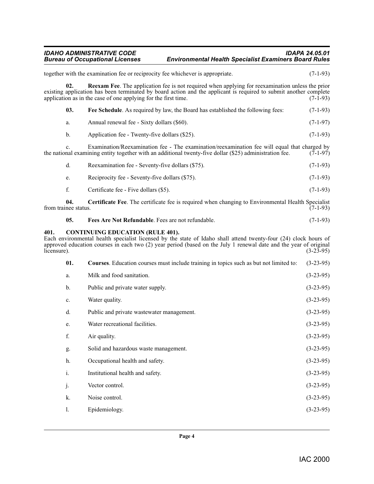#### *IDAHO ADMINISTRATIVE CODE IDAPA 24.05.01* **Environmental Health Specialist Examiners Board Rules**

together with the examination fee or reciprocity fee whichever is appropriate. (7-1-93)

<span id="page-3-6"></span><span id="page-3-5"></span><span id="page-3-4"></span><span id="page-3-3"></span><span id="page-3-2"></span><span id="page-3-1"></span><span id="page-3-0"></span>**02. Reexam Fee**. The application fee is not required when applying for reexamination unless the prior existing application has been terminated by board action and the applicant is required to submit another complete application as in the case of one applying for the first time. (7-1-93) application as in the case of one applying for the first time. **03.** Free Schedule. As required by law, the Board has established the following fees: (7-1-93) a. Annual renewal fee - Sixty dollars (\$60). (7-1-97) b. Application fee - Twenty-five dollars (\$25). (7-1-93) c. Examination/Reexamination fee - The examination/reexamination fee will equal that charged by nal examining entity together with an additional twenty-five dollar (\$25) administration fee. (7-1-97) the national examining entity together with an additional twenty-five dollar (\$25) administration fee. d. Reexamination fee - Seventy-five dollars (\$75). (7-1-93) e. Reciprocity fee - Seventy-five dollars (\$75). (7-1-93) f. Certificate fee - Five dollars (\$5). (7-1-93) **04.** Certificate Fee. The certificate fee is required when changing to Environmental Health Specialist nee status. (7-1-93) from trainee status. **05. Fees Are Not Refundable**. Fees are not refundable. (7-1-93) **401. CONTINUING EDUCATION (RULE 401).** Each environmental health specialist licensed by the state of Idaho shall attend twenty-four (24) clock hours of approved education courses in each two (2) year period (based on the July 1 renewal date and the year of original licensure). (3-23-95)  $l$ icensure).  $(3-23-95)$ **01. Courses**. Education courses must include training in topics such as but not limited to: (3-23-95) a. Milk and food sanitation. (3-23-95) b. Public and private water supply. (3-23-95) c. Water quality. (3-23-95) d. Public and private wastewater management. (3-23-95) e. Water recreational facilities. (3-23-95) f. Air quality.  $(3-23-95)$ g. Solid and hazardous waste management. (3-23-95) h. Occupational health and safety. (3-23-95) i. Institutional health and safety. (3-23-95) j. Vector control. (3-23-95) k. Noise control. (3-23-95) l. Epidemiology. (3-23-95)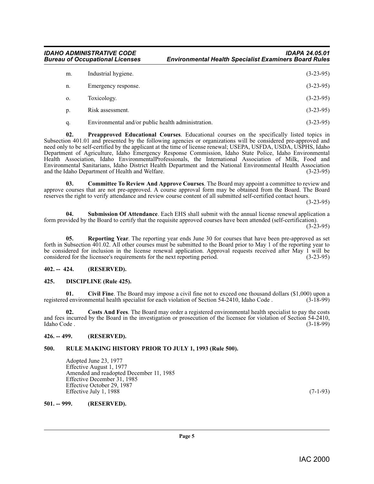*IDAHO ADMINISTRATIVE CODE IDAPA 24.05.01* **Environmental Health Specialist Examiners Board Rules** 

| m. | Industrial hygiene.                                | $(3-23-95)$ |
|----|----------------------------------------------------|-------------|
| n. | Emergency response.                                | $(3-23-95)$ |
| 0. | Toxicology.                                        | $(3-23-95)$ |
| p. | Risk assessment.                                   | $(3-23-95)$ |
| q. | Environmental and/or public health administration. | $(3-23-95)$ |

<span id="page-4-9"></span>**02. Preapproved Educational Courses**. Educational courses on the specifically listed topics in Subsection 401.01 and presented by the following agencies or organizations will be considered pre-approved and need only to be self-certified by the applicant at the time of license renewal; USEPA, USFDA, USDA, USPHS, Idaho Department of Agriculture, Idaho Emergency Response Commission, Idaho State Police, Idaho Environmental Health Association, Idaho EnvironmentalProfessionals, the International Association of Milk, Food and Environmental Sanitarians, Idaho District Health Department and the National Environmental Health Association and the Idaho Department of Health and Welfare.

<span id="page-4-6"></span>**03. Committee To Review And Approve Courses**. The Board may appoint a committee to review and approve courses that are not pre-approved. A course approval form may be obtained from the Board. The Board reserves the right to verify attendance and review course content of all submitted self-certified contact hours.

(3-23-95)

<span id="page-4-12"></span>**04. Submission Of Attendance**. Each EHS shall submit with the annual license renewal application a form provided by the Board to certify that the requisite approved courses have been attended (self-certification).  $(3-23-95)$ 

<span id="page-4-10"></span>**05. Reporting Year**. The reporting year ends June 30 for courses that have been pre-approved as set forth in Subsection 401.02. All other courses must be submitted to the Board prior to May 1 of the reporting year to be considered for inclusion in the license renewal application. Approval requests received after May 1 will be considered for the licensee's requirements for the next reporting period. (3-23-95)

#### <span id="page-4-0"></span>**402. -- 424. (RESERVED).**

#### <span id="page-4-8"></span><span id="page-4-1"></span>**425. DISCIPLINE (Rule 425).**

<span id="page-4-5"></span>**Civil Fine**. The Board may impose a civil fine not to exceed one thousand dollars (\$1,000) upon a mental health specialist for each violation of Section 54-2410, Idaho Code. (3-18-99) registered environmental health specialist for each violation of Section 54-2410, Idaho Code.

<span id="page-4-7"></span>**02. Costs And Fees**. The Board may order a registered environmental health specialist to pay the costs and fees incurred by the Board in the investigation or prosecution of the licensee for violation of Section 54-2410,<br>(3-18-99) (3-18-99) Idaho Code . (3-18-99)

#### <span id="page-4-2"></span>**426. -- 499. (RESERVED).**

#### <span id="page-4-3"></span>**500. RULE MAKING HISTORY PRIOR TO JULY 1, 1993 (Rule 500).**

<span id="page-4-11"></span>Adopted June 23, 1977 Effective August 1, 1977 Amended and readopted December 11, 1985 Effective December 31, 1985 Effective October 29, 1987 Effective July 1, 1988  $(7-1-93)$ 

<span id="page-4-4"></span>**501. -- 999. (RESERVED).**